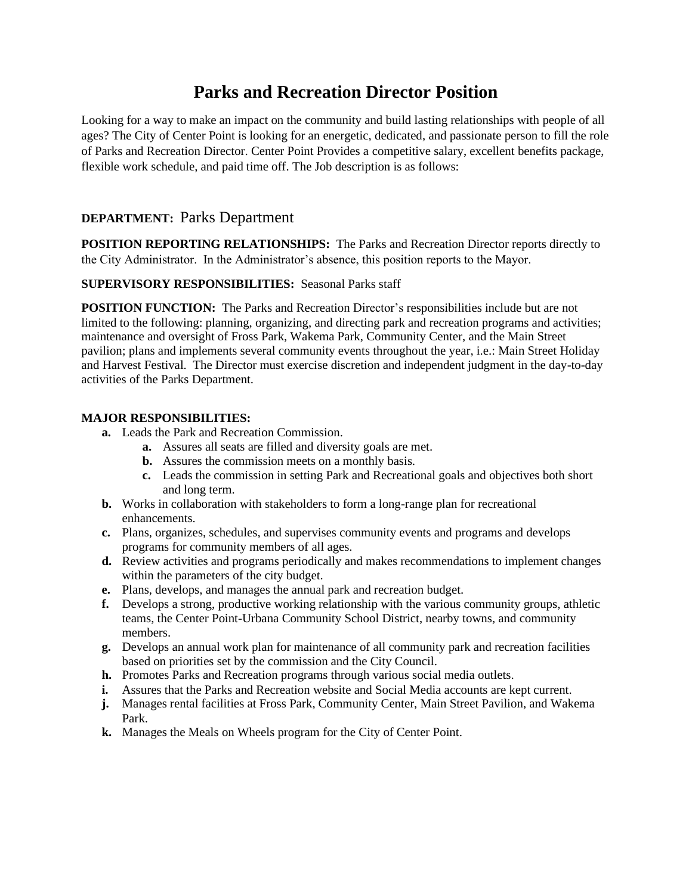# **Parks and Recreation Director Position**

Looking for a way to make an impact on the community and build lasting relationships with people of all ages? The City of Center Point is looking for an energetic, dedicated, and passionate person to fill the role of Parks and Recreation Director. Center Point Provides a competitive salary, excellent benefits package, flexible work schedule, and paid time off. The Job description is as follows:

# **DEPARTMENT:** Parks Department

**POSITION REPORTING RELATIONSHIPS:** The Parks and Recreation Director reports directly to the City Administrator. In the Administrator's absence, this position reports to the Mayor.

#### **SUPERVISORY RESPONSIBILITIES:** Seasonal Parks staff

**POSITION FUNCTION:** The Parks and Recreation Director's responsibilities include but are not limited to the following: planning, organizing, and directing park and recreation programs and activities; maintenance and oversight of Fross Park, Wakema Park, Community Center, and the Main Street pavilion; plans and implements several community events throughout the year, i.e.: Main Street Holiday and Harvest Festival. The Director must exercise discretion and independent judgment in the day-to-day activities of the Parks Department.

#### **MAJOR RESPONSIBILITIES:**

- **a.** Leads the Park and Recreation Commission.
	- **a.** Assures all seats are filled and diversity goals are met.
	- **b.** Assures the commission meets on a monthly basis.
	- **c.** Leads the commission in setting Park and Recreational goals and objectives both short and long term.
- **b.** Works in collaboration with stakeholders to form a long-range plan for recreational enhancements.
- **c.** Plans, organizes, schedules, and supervises community events and programs and develops programs for community members of all ages.
- **d.** Review activities and programs periodically and makes recommendations to implement changes within the parameters of the city budget.
- **e.** Plans, develops, and manages the annual park and recreation budget.
- **f.** Develops a strong, productive working relationship with the various community groups, athletic teams, the Center Point-Urbana Community School District, nearby towns, and community members.
- **g.** Develops an annual work plan for maintenance of all community park and recreation facilities based on priorities set by the commission and the City Council.
- **h.** Promotes Parks and Recreation programs through various social media outlets.
- **i.** Assures that the Parks and Recreation website and Social Media accounts are kept current.
- **j.** Manages rental facilities at Fross Park, Community Center, Main Street Pavilion, and Wakema Park.
- **k.** Manages the Meals on Wheels program for the City of Center Point.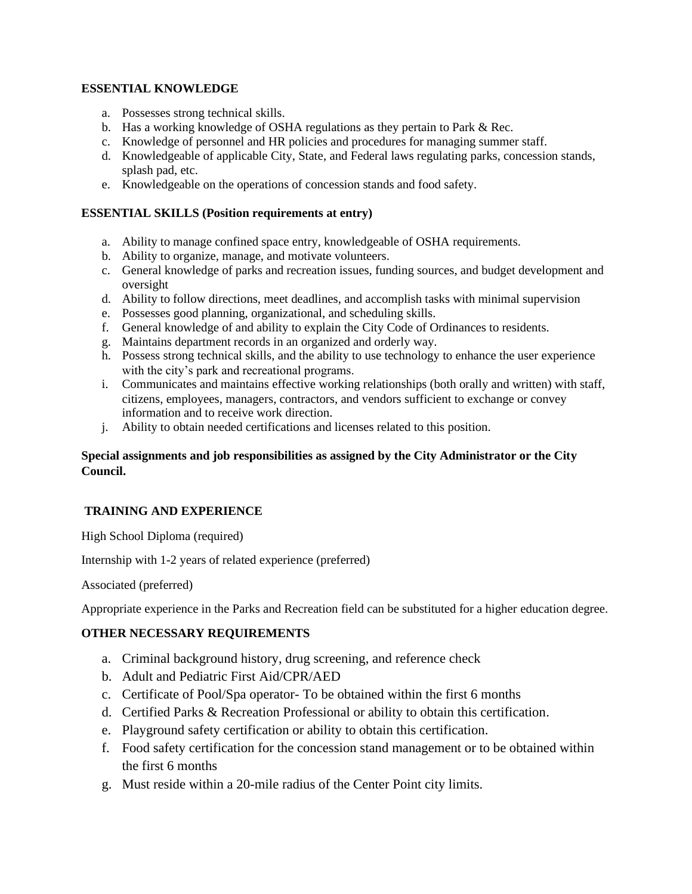### **ESSENTIAL KNOWLEDGE**

- a. Possesses strong technical skills.
- b. Has a working knowledge of OSHA regulations as they pertain to Park & Rec.
- c. Knowledge of personnel and HR policies and procedures for managing summer staff.
- d. Knowledgeable of applicable City, State, and Federal laws regulating parks, concession stands, splash pad, etc.
- e. Knowledgeable on the operations of concession stands and food safety.

### **ESSENTIAL SKILLS (Position requirements at entry)**

- a. Ability to manage confined space entry, knowledgeable of OSHA requirements.
- b. Ability to organize, manage, and motivate volunteers.
- c. General knowledge of parks and recreation issues, funding sources, and budget development and oversight
- d. Ability to follow directions, meet deadlines, and accomplish tasks with minimal supervision
- e. Possesses good planning, organizational, and scheduling skills.
- f. General knowledge of and ability to explain the City Code of Ordinances to residents.
- g. Maintains department records in an organized and orderly way.
- h. Possess strong technical skills, and the ability to use technology to enhance the user experience with the city's park and recreational programs.
- i. Communicates and maintains effective working relationships (both orally and written) with staff, citizens, employees, managers, contractors, and vendors sufficient to exchange or convey information and to receive work direction.
- j. Ability to obtain needed certifications and licenses related to this position.

## **Special assignments and job responsibilities as assigned by the City Administrator or the City Council.**

## **TRAINING AND EXPERIENCE**

High School Diploma (required)

Internship with 1-2 years of related experience (preferred)

Associated (preferred)

Appropriate experience in the Parks and Recreation field can be substituted for a higher education degree.

## **OTHER NECESSARY REQUIREMENTS**

- a. Criminal background history, drug screening, and reference check
- b. Adult and Pediatric First Aid/CPR/AED
- c. Certificate of Pool/Spa operator- To be obtained within the first 6 months
- d. Certified Parks & Recreation Professional or ability to obtain this certification.
- e. Playground safety certification or ability to obtain this certification.
- f. Food safety certification for the concession stand management or to be obtained within the first 6 months
- g. Must reside within a 20-mile radius of the Center Point city limits.